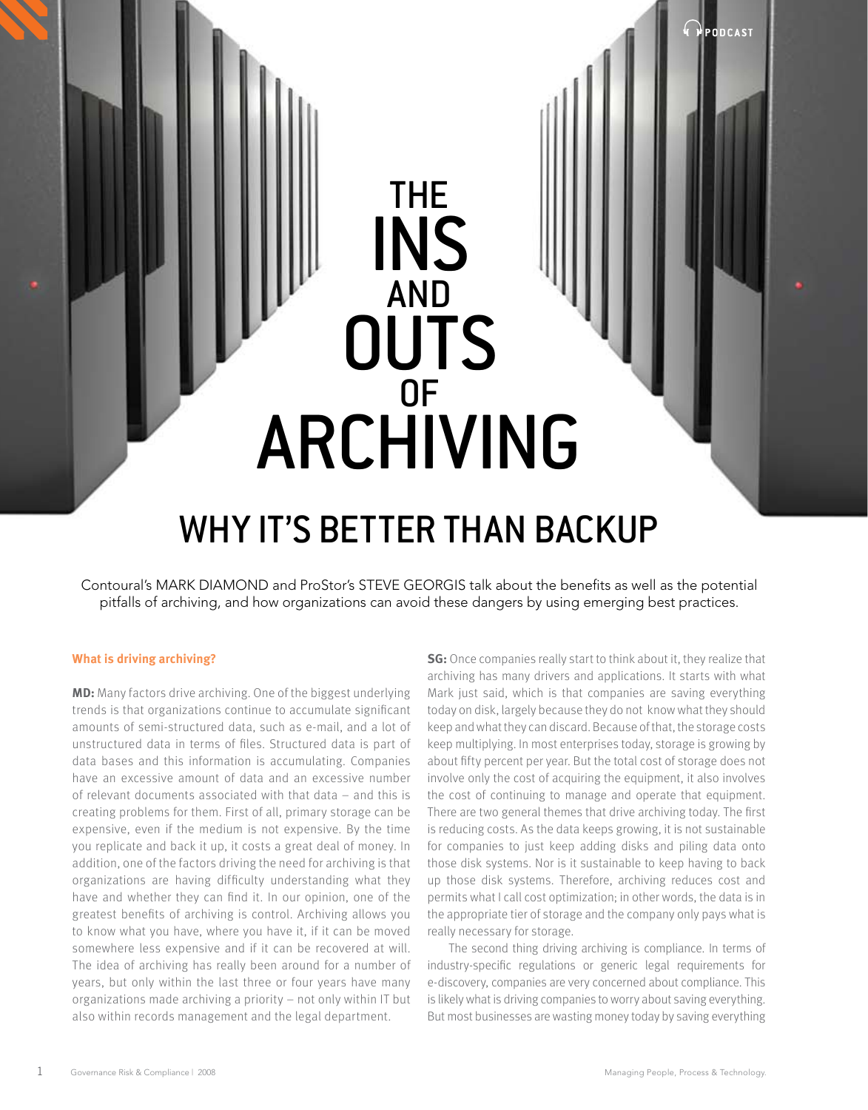## **INS AND OUTS** of Archiving

**THE** 

### Why it's Better than Backup

Contoural's MARK DIAMOND and ProStor's STEVE GEORGIS talk about the benefits as well as the potential pitfalls of archiving, and how organizations can avoid these dangers by using emerging best practices.

#### **What is driving archiving?**

**MD:** Many factors drive archiving. One of the biggest underlying trends is that organizations continue to accumulate significant amounts of semi-structured data, such as e-mail, and a lot of unstructured data in terms of files. Structured data is part of data bases and this information is accumulating. Companies have an excessive amount of data and an excessive number of relevant documents associated with that data – and this is creating problems for them. First of all, primary storage can be expensive, even if the medium is not expensive. By the time you replicate and back it up, it costs a great deal of money. In addition, one of the factors driving the need for archiving is that organizations are having difficulty understanding what they have and whether they can find it. In our opinion, one of the greatest benefits of archiving is control. Archiving allows you to know what you have, where you have it, if it can be moved somewhere less expensive and if it can be recovered at will. The idea of archiving has really been around for a number of years, but only within the last three or four years have many organizations made archiving a priority – not only within IT but also within records management and the legal department.

**SG:** Once companies really start to think about it, they realize that archiving has many drivers and applications. It starts with what Mark just said, which is that companies are saving everything today on disk, largely because they do not know what they should keep and what they can discard. Because of that, the storage costs keep multiplying. In most enterprises today, storage is growing by about fifty percent per year. But the total cost of storage does not involve only the cost of acquiring the equipment, it also involves the cost of continuing to manage and operate that equipment. There are two general themes that drive archiving today. The first is reducing costs. As the data keeps growing, it is not sustainable for companies to just keep adding disks and piling data onto those disk systems. Nor is it sustainable to keep having to back up those disk systems. Therefore, archiving reduces cost and permits what I call cost optimization; in other words, the data is in the appropriate tier of storage and the company only pays what is really necessary for storage.

The second thing driving archiving is compliance. In terms of industry-specific regulations or generic legal requirements for e-discovery, companies are very concerned about compliance. This is likely what is driving companies to worry about saving everything. But most businesses are wasting money today by saving everything

**(DPODCAST**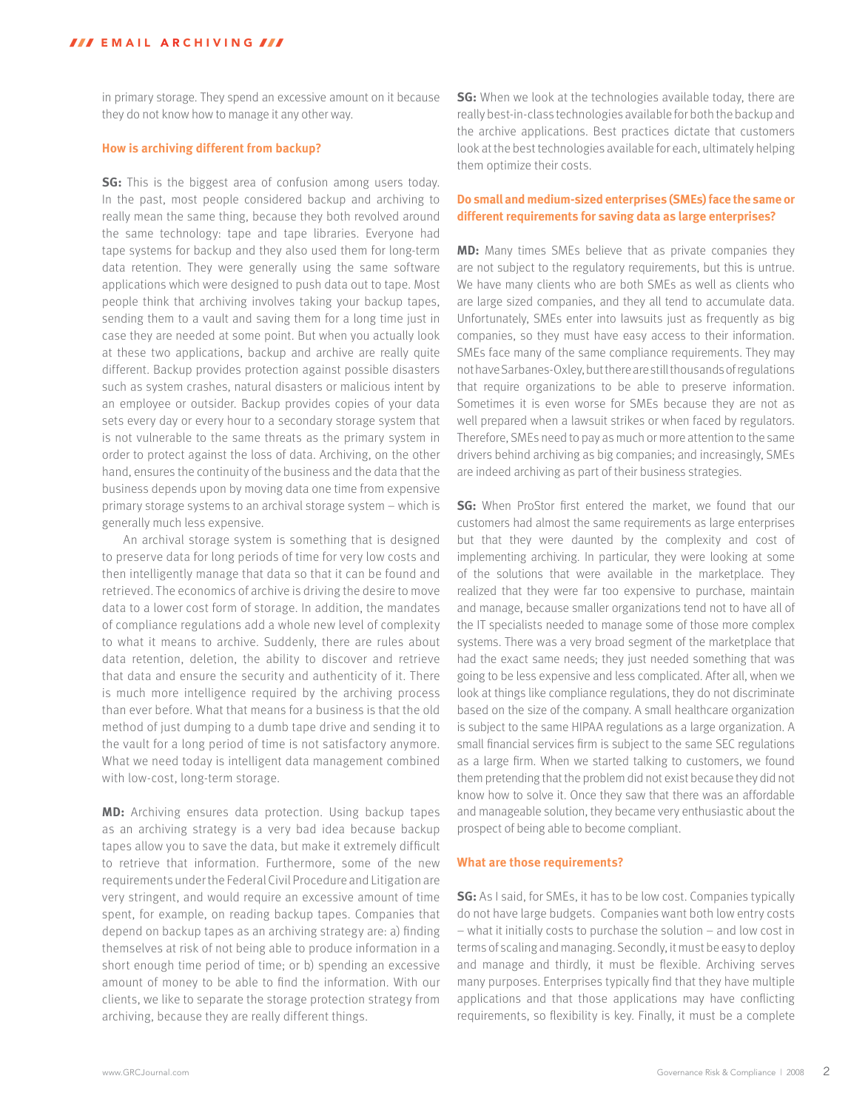in primary storage. They spend an excessive amount on it because they do not know how to manage it any other way.

#### **How is archiving different from backup?**

**SG:** This is the biggest area of confusion among users today. In the past, most people considered backup and archiving to really mean the same thing, because they both revolved around the same technology: tape and tape libraries. Everyone had tape systems for backup and they also used them for long-term data retention. They were generally using the same software applications which were designed to push data out to tape. Most people think that archiving involves taking your backup tapes, sending them to a vault and saving them for a long time just in case they are needed at some point. But when you actually look at these two applications, backup and archive are really quite different. Backup provides protection against possible disasters such as system crashes, natural disasters or malicious intent by an employee or outsider. Backup provides copies of your data sets every day or every hour to a secondary storage system that is not vulnerable to the same threats as the primary system in order to protect against the loss of data. Archiving, on the other hand, ensures the continuity of the business and the data that the business depends upon by moving data one time from expensive primary storage systems to an archival storage system – which is generally much less expensive.

An archival storage system is something that is designed to preserve data for long periods of time for very low costs and then intelligently manage that data so that it can be found and retrieved. The economics of archive is driving the desire to move data to a lower cost form of storage. In addition, the mandates of compliance regulations add a whole new level of complexity to what it means to archive. Suddenly, there are rules about data retention, deletion, the ability to discover and retrieve that data and ensure the security and authenticity of it. There is much more intelligence required by the archiving process than ever before. What that means for a business is that the old method of just dumping to a dumb tape drive and sending it to the vault for a long period of time is not satisfactory anymore. What we need today is intelligent data management combined with low-cost, long-term storage.

**MD:** Archiving ensures data protection. Using backup tapes as an archiving strategy is a very bad idea because backup tapes allow you to save the data, but make it extremely difficult to retrieve that information. Furthermore, some of the new requirements under the Federal Civil Procedure and Litigation are very stringent, and would require an excessive amount of time spent, for example, on reading backup tapes. Companies that depend on backup tapes as an archiving strategy are: a) finding themselves at risk of not being able to produce information in a short enough time period of time; or b) spending an excessive amount of money to be able to find the information. With our clients, we like to separate the storage protection strategy from archiving, because they are really different things.

**SG:** When we look at the technologies available today, there are really best-in-class technologies available for both the backup and the archive applications. Best practices dictate that customers look at the best technologies available for each, ultimately helping them optimize their costs.

#### **Do small and medium-sized enterprises (SMEs) face the same or different requirements for saving data as large enterprises?**

**MD:** Many times SMEs believe that as private companies they are not subject to the regulatory requirements, but this is untrue. We have many clients who are both SMEs as well as clients who are large sized companies, and they all tend to accumulate data. Unfortunately, SMEs enter into lawsuits just as frequently as big companies, so they must have easy access to their information. SMEs face many of the same compliance requirements. They may not have Sarbanes-Oxley, but there are still thousands of regulations that require organizations to be able to preserve information. Sometimes it is even worse for SMEs because they are not as well prepared when a lawsuit strikes or when faced by regulators. Therefore, SMEs need to pay as much or more attention to the same drivers behind archiving as big companies; and increasingly, SMEs are indeed archiving as part of their business strategies.

**SG:** When ProStor first entered the market, we found that our customers had almost the same requirements as large enterprises but that they were daunted by the complexity and cost of implementing archiving. In particular, they were looking at some of the solutions that were available in the marketplace. They realized that they were far too expensive to purchase, maintain and manage, because smaller organizations tend not to have all of the IT specialists needed to manage some of those more complex systems. There was a very broad segment of the marketplace that had the exact same needs; they just needed something that was going to be less expensive and less complicated. After all, when we look at things like compliance regulations, they do not discriminate based on the size of the company. A small healthcare organization is subject to the same HIPAA regulations as a large organization. A small financial services firm is subject to the same SEC regulations as a large firm. When we started talking to customers, we found them pretending that the problem did not exist because they did not know how to solve it. Once they saw that there was an affordable and manageable solution, they became very enthusiastic about the prospect of being able to become compliant.

#### **What are those requirements?**

**SG:** As I said, for SMEs, it has to be low cost. Companies typically do not have large budgets. Companies want both low entry costs – what it initially costs to purchase the solution – and low cost in terms of scaling and managing. Secondly, it must be easy to deploy and manage and thirdly, it must be flexible. Archiving serves many purposes. Enterprises typically find that they have multiple applications and that those applications may have conflicting requirements, so flexibility is key. Finally, it must be a complete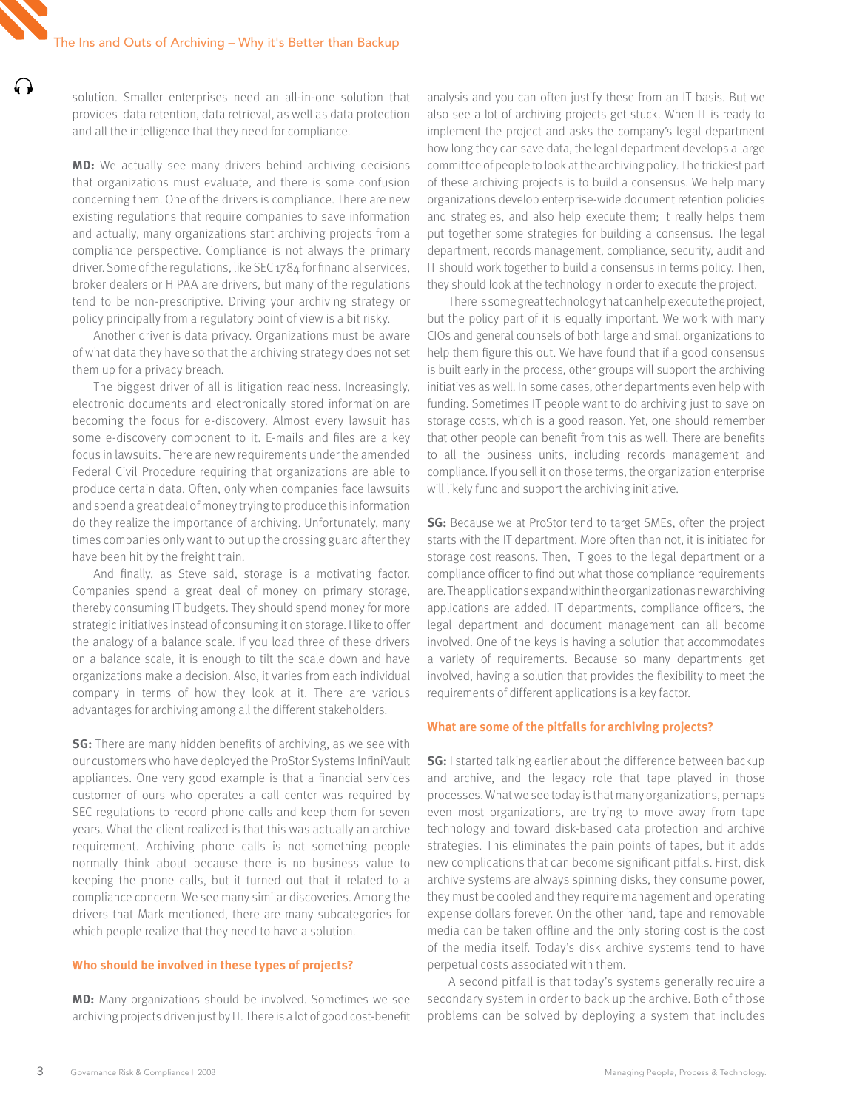solution. Smaller enterprises need an all-in-one solution that provides data retention, data retrieval, as well as data protection and all the intelligence that they need for compliance.

**MD:** We actually see many drivers behind archiving decisions that organizations must evaluate, and there is some confusion concerning them. One of the drivers is compliance. There are new existing regulations that require companies to save information and actually, many organizations start archiving projects from a compliance perspective. Compliance is not always the primary driver. Some of the regulations, like SEC 1784 for financial services, broker dealers or HIPAA are drivers, but many of the regulations tend to be non-prescriptive. Driving your archiving strategy or policy principally from a regulatory point of view is a bit risky.

Another driver is data privacy. Organizations must be aware of what data they have so that the archiving strategy does not set them up for a privacy breach.

The biggest driver of all is litigation readiness. Increasingly, electronic documents and electronically stored information are becoming the focus for e-discovery. Almost every lawsuit has some e-discovery component to it. E-mails and files are a key focus in lawsuits. There are new requirements under the amended Federal Civil Procedure requiring that organizations are able to produce certain data. Often, only when companies face lawsuits and spend a great deal of money trying to produce this information do they realize the importance of archiving. Unfortunately, many times companies only want to put up the crossing guard after they have been hit by the freight train.

And finally, as Steve said, storage is a motivating factor. Companies spend a great deal of money on primary storage, thereby consuming IT budgets. They should spend money for more strategic initiatives instead of consuming it on storage. I like to offer the analogy of a balance scale. If you load three of these drivers on a balance scale, it is enough to tilt the scale down and have organizations make a decision. Also, it varies from each individual company in terms of how they look at it. There are various advantages for archiving among all the different stakeholders.

**SG:** There are many hidden benefits of archiving, as we see with our customers who have deployed the ProStor Systems InfiniVault appliances. One very good example is that a financial services customer of ours who operates a call center was required by SEC regulations to record phone calls and keep them for seven years. What the client realized is that this was actually an archive requirement. Archiving phone calls is not something people normally think about because there is no business value to keeping the phone calls, but it turned out that it related to a compliance concern. We see many similar discoveries. Among the drivers that Mark mentioned, there are many subcategories for which people realize that they need to have a solution.

#### **Who should be involved in these types of projects?**

**MD:** Many organizations should be involved. Sometimes we see archiving projects driven just by IT. There is a lot of good cost-benefit analysis and you can often justify these from an IT basis. But we also see a lot of archiving projects get stuck. When IT is ready to implement the project and asks the company's legal department how long they can save data, the legal department develops a large committee of people to look at the archiving policy. The trickiest part of these archiving projects is to build a consensus. We help many organizations develop enterprise-wide document retention policies and strategies, and also help execute them; it really helps them put together some strategies for building a consensus. The legal department, records management, compliance, security, audit and IT should work together to build a consensus in terms policy. Then, they should look at the technology in order to execute the project.

There is some great technology that can help execute the project, but the policy part of it is equally important. We work with many CIOs and general counsels of both large and small organizations to help them figure this out. We have found that if a good consensus is built early in the process, other groups will support the archiving initiatives as well. In some cases, other departments even help with funding. Sometimes IT people want to do archiving just to save on storage costs, which is a good reason. Yet, one should remember that other people can benefit from this as well. There are benefits to all the business units, including records management and compliance. If you sell it on those terms, the organization enterprise will likely fund and support the archiving initiative.

**SG:** Because we at ProStor tend to target SMEs, often the project starts with the IT department. More often than not, it is initiated for storage cost reasons. Then, IT goes to the legal department or a compliance officer to find out what those compliance requirements are. The applications expand within the organization as new archiving applications are added. IT departments, compliance officers, the legal department and document management can all become involved. One of the keys is having a solution that accommodates a variety of requirements. Because so many departments get involved, having a solution that provides the flexibility to meet the requirements of different applications is a key factor.

#### **What are some of the pitfalls for archiving projects?**

**SG:** I started talking earlier about the difference between backup and archive, and the legacy role that tape played in those processes. What we see today is that many organizations, perhaps even most organizations, are trying to move away from tape technology and toward disk-based data protection and archive strategies. This eliminates the pain points of tapes, but it adds new complications that can become significant pitfalls. First, disk archive systems are always spinning disks, they consume power, they must be cooled and they require management and operating expense dollars forever. On the other hand, tape and removable media can be taken offline and the only storing cost is the cost of the media itself. Today's disk archive systems tend to have perpetual costs associated with them.

A second pitfall is that today's systems generally require a secondary system in order to back up the archive. Both of those problems can be solved by deploying a system that includes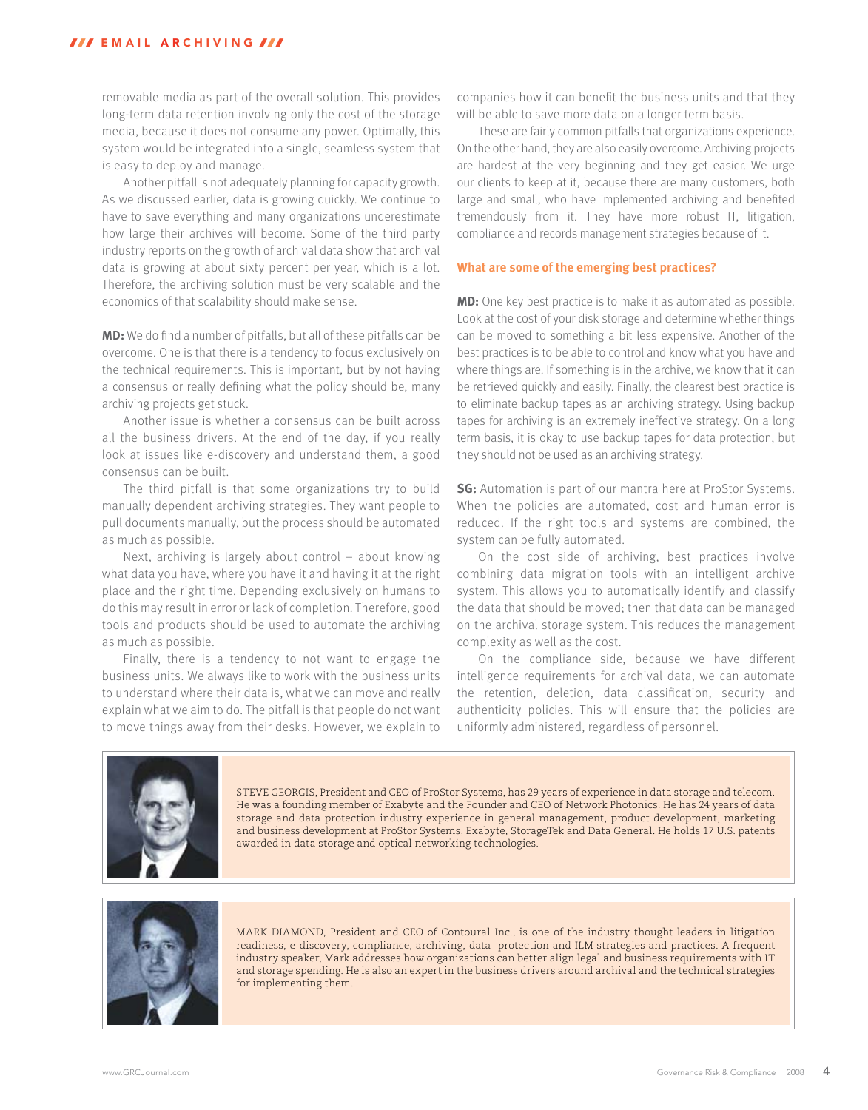removable media as part of the overall solution. This provides long-term data retention involving only the cost of the storage media, because it does not consume any power. Optimally, this system would be integrated into a single, seamless system that is easy to deploy and manage.

Another pitfall is not adequately planning for capacity growth. As we discussed earlier, data is growing quickly. We continue to have to save everything and many organizations underestimate how large their archives will become. Some of the third party industry reports on the growth of archival data show that archival data is growing at about sixty percent per year, which is a lot. Therefore, the archiving solution must be very scalable and the economics of that scalability should make sense.

**MD:** We do find a number of pitfalls, but all of these pitfalls can be overcome. One is that there is a tendency to focus exclusively on the technical requirements. This is important, but by not having a consensus or really defining what the policy should be, many archiving projects get stuck.

Another issue is whether a consensus can be built across all the business drivers. At the end of the day, if you really look at issues like e-discovery and understand them, a good consensus can be built.

The third pitfall is that some organizations try to build manually dependent archiving strategies. They want people to pull documents manually, but the process should be automated as much as possible.

Next, archiving is largely about control – about knowing what data you have, where you have it and having it at the right place and the right time. Depending exclusively on humans to do this may result in error or lack of completion. Therefore, good tools and products should be used to automate the archiving as much as possible.

Finally, there is a tendency to not want to engage the business units. We always like to work with the business units to understand where their data is, what we can move and really explain what we aim to do. The pitfall is that people do not want to move things away from their desks. However, we explain to

companies how it can benefit the business units and that they will be able to save more data on a longer term basis.

These are fairly common pitfalls that organizations experience. On the other hand, they are also easily overcome. Archiving projects are hardest at the very beginning and they get easier. We urge our clients to keep at it, because there are many customers, both large and small, who have implemented archiving and benefited tremendously from it. They have more robust IT, litigation, compliance and records management strategies because of it.

#### **What are some of the emerging best practices?**

**MD:** One key best practice is to make it as automated as possible. Look at the cost of your disk storage and determine whether things can be moved to something a bit less expensive. Another of the best practices is to be able to control and know what you have and where things are. If something is in the archive, we know that it can be retrieved quickly and easily. Finally, the clearest best practice is to eliminate backup tapes as an archiving strategy. Using backup tapes for archiving is an extremely ineffective strategy. On a long term basis, it is okay to use backup tapes for data protection, but they should not be used as an archiving strategy.

**SG:** Automation is part of our mantra here at ProStor Systems. When the policies are automated, cost and human error is reduced. If the right tools and systems are combined, the system can be fully automated.

On the cost side of archiving, best practices involve combining data migration tools with an intelligent archive system. This allows you to automatically identify and classify the data that should be moved; then that data can be managed on the archival storage system. This reduces the management complexity as well as the cost.

On the compliance side, because we have different intelligence requirements for archival data, we can automate the retention, deletion, data classification, security and authenticity policies. This will ensure that the policies are uniformly administered, regardless of personnel.



STEVE GEORGIS, President and CEO of ProStor Systems, has 29 years of experience in data storage and telecom. He was a founding member of Exabyte and the Founder and CEO of Network Photonics. He has 24 years of data storage and data protection industry experience in general management, product development, marketing and business development at ProStor Systems, Exabyte, StorageTek and Data General. He holds 17 U.S. patents awarded in data storage and optical networking technologies.



MARK DIAMOND, President and CEO of Contoural Inc., is one of the industry thought leaders in litigation readiness, e-discovery, compliance, archiving, data protection and ILM strategies and practices. A frequent industry speaker, Mark addresses how organizations can better align legal and business requirements with IT and storage spending. He is also an expert in the business drivers around archival and the technical strategies for implementing them.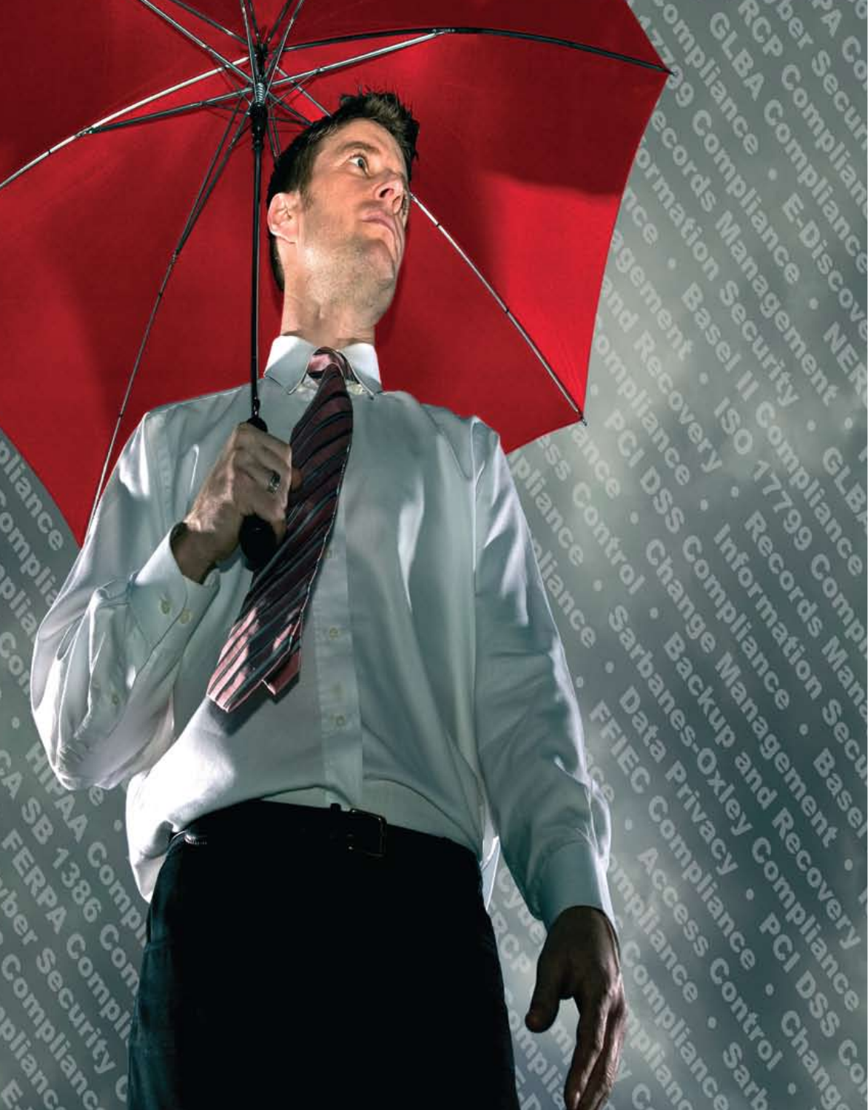